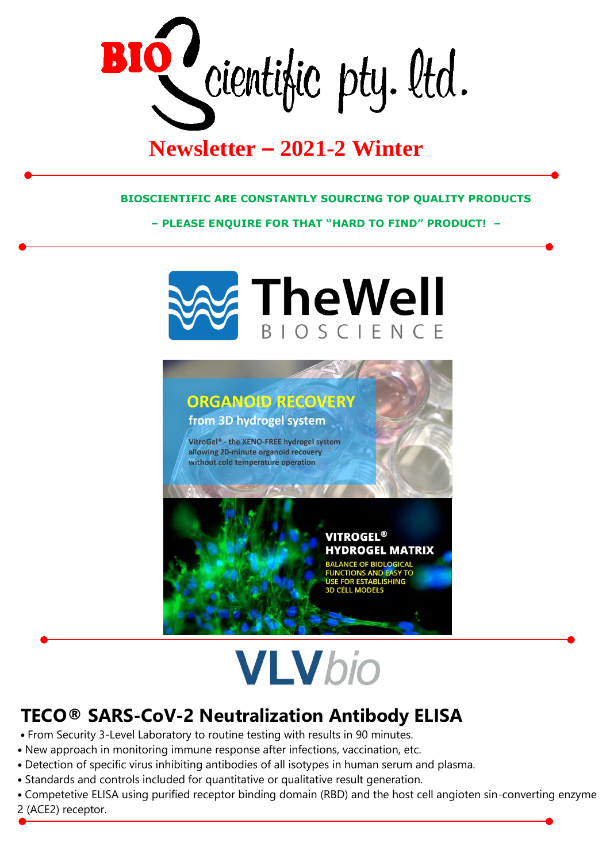BIO cientific pty. Itd.

## **Newsletter – 2021-2 Winter**

## **BIOSCIENTIFIC ARE CONSTANTLY SOURCING TOP QUALITY PRODUCTS**

**– PLEASE ENQUIRE FOR THAT "HARD TO FIND" PRODUCT! –**



## **VLVbio**

## **TECO® SARS-CoV-2 Neutralization Antibody ELISA**

- From Security 3-Level Laboratory to routine testing with results in 90 minutes.
- New approach in monitoring immune response after infections, vaccination, etc.
- Detection of specific virus inhibiting antibodies of all isotypes in human serum and plasma.
- Standards and controls included for quantitative or qualitative result generation.
- Competetive ELISA using purified receptor binding domain (RBD) and the host cell angioten sin-converting enzyme 2 (ACE2) receptor.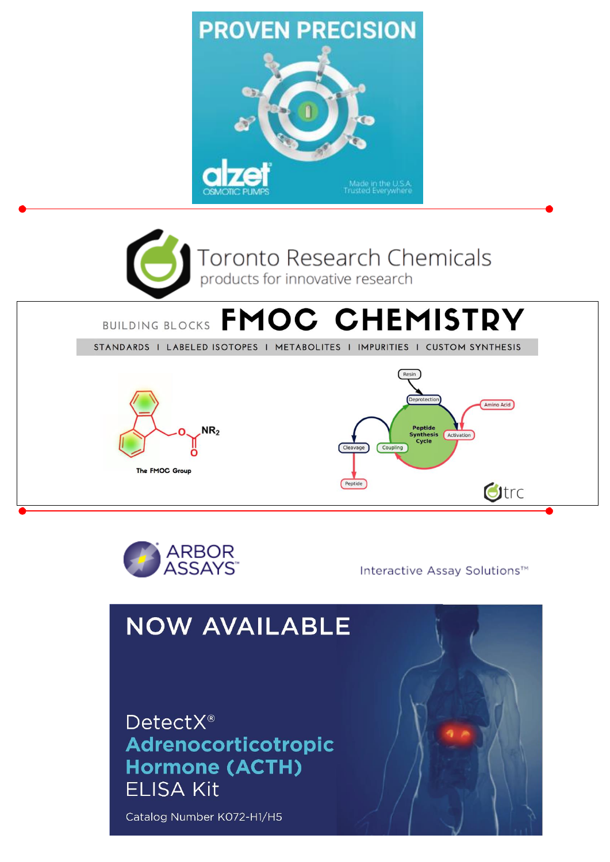



Interactive Assay Solutions™

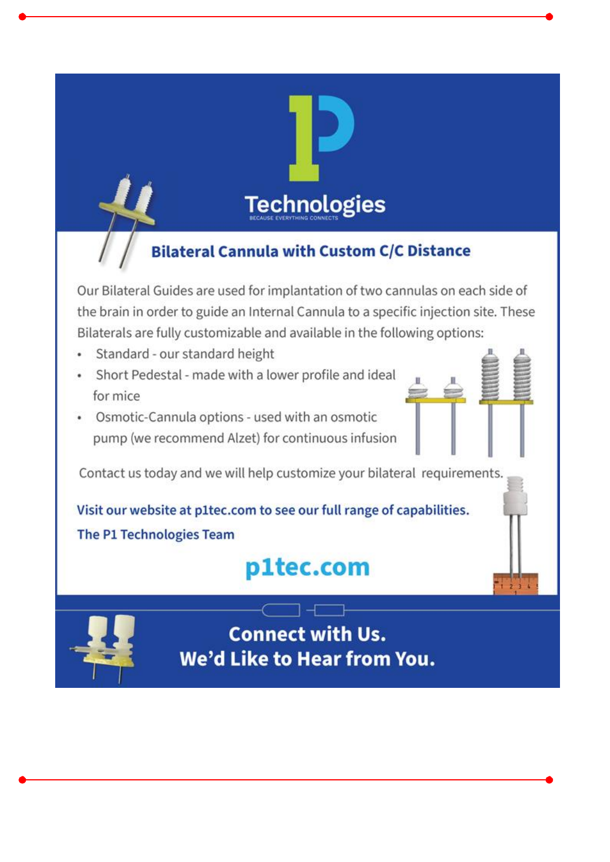